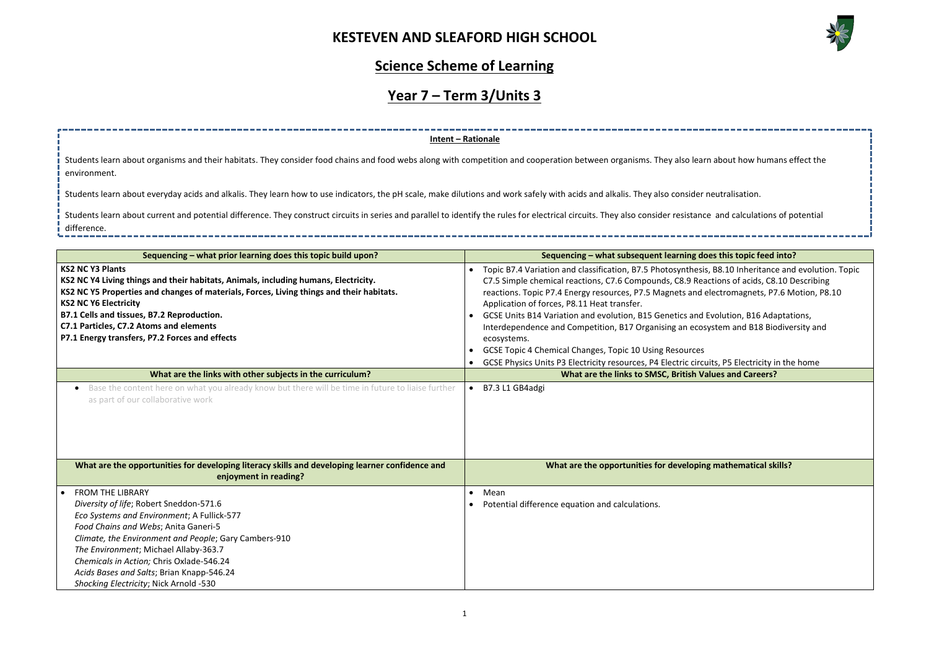

| rn about how humans effect the                                                                                        |
|-----------------------------------------------------------------------------------------------------------------------|
| neutralisation.                                                                                                       |
| ce and calculations of potential                                                                                      |
| وأسرابها والمرا                                                                                                       |
| oes this topic feed into?                                                                                             |
| s, B8.10 Inheritance and evolution. Topic<br>actions of acids, C8.10 Describing<br>electromagnets, P7.6 Motion, P8.10 |
|                                                                                                                       |
| Evolution, B16 Adaptations,<br>system and B18 Biodiversity and                                                        |
|                                                                                                                       |
| uits, P5 Electricity in the home                                                                                      |
| alues and Careers?                                                                                                    |
|                                                                                                                       |
|                                                                                                                       |
|                                                                                                                       |
|                                                                                                                       |
|                                                                                                                       |
| ng mathematical skills?                                                                                               |
|                                                                                                                       |
|                                                                                                                       |
|                                                                                                                       |
|                                                                                                                       |
|                                                                                                                       |
|                                                                                                                       |
|                                                                                                                       |
|                                                                                                                       |

#### **Science Scheme of Learning**

# **Year 7 – Term 3/Units 3**

| Sequencing - what prior learning does this topic build upon?                                                                                                                                                                                                                                                                                                                                                                                                                                                                                                                                 | Sequencing – what subsequent learning does this topic feed into?                                                                                                                                                                                                                                                                                                                                                                                                                                                                                                                                                                                                                                                                                                                                              |
|----------------------------------------------------------------------------------------------------------------------------------------------------------------------------------------------------------------------------------------------------------------------------------------------------------------------------------------------------------------------------------------------------------------------------------------------------------------------------------------------------------------------------------------------------------------------------------------------|---------------------------------------------------------------------------------------------------------------------------------------------------------------------------------------------------------------------------------------------------------------------------------------------------------------------------------------------------------------------------------------------------------------------------------------------------------------------------------------------------------------------------------------------------------------------------------------------------------------------------------------------------------------------------------------------------------------------------------------------------------------------------------------------------------------|
| <b>KS2 NC Y3 Plants</b><br>KS2 NC Y4 Living things and their habitats, Animals, including humans, Electricity.<br>KS2 NC Y5 Properties and changes of materials, Forces, Living things and their habitats.<br><b>KS2 NC Y6 Electricity</b><br>B7.1 Cells and tissues, B7.2 Reproduction.<br>C7.1 Particles, C7.2 Atoms and elements<br>P7.1 Energy transfers, P7.2 Forces and effects<br>What are the links with other subjects in the curriculum?<br>Base the content here on what you already know but there will be time in future to liaise further<br>as part of our collaborative work | Topic B7.4 Variation and classification, B7.5 Photosynthesis, B8.10 Inheritance and evolution. Topic<br>C7.5 Simple chemical reactions, C7.6 Compounds, C8.9 Reactions of acids, C8.10 Describing<br>reactions. Topic P7.4 Energy resources, P7.5 Magnets and electromagnets, P7.6 Motion, P8.10<br>Application of forces, P8.11 Heat transfer.<br>GCSE Units B14 Variation and evolution, B15 Genetics and Evolution, B16 Adaptations,<br>Interdependence and Competition, B17 Organising an ecosystem and B18 Biodiversity and<br>ecosystems.<br><b>GCSE Topic 4 Chemical Changes, Topic 10 Using Resources</b><br>GCSE Physics Units P3 Electricity resources, P4 Electric circuits, P5 Electricity in the home<br>What are the links to SMSC, British Values and Careers?<br>B7.3 L1 GB4adgi<br>$\bullet$ |
| What are the opportunities for developing literacy skills and developing learner confidence and<br>enjoyment in reading?                                                                                                                                                                                                                                                                                                                                                                                                                                                                     | What are the opportunities for developing mathematical skills?                                                                                                                                                                                                                                                                                                                                                                                                                                                                                                                                                                                                                                                                                                                                                |
| <b>FROM THE LIBRARY</b>                                                                                                                                                                                                                                                                                                                                                                                                                                                                                                                                                                      | Mean<br>$\bullet$                                                                                                                                                                                                                                                                                                                                                                                                                                                                                                                                                                                                                                                                                                                                                                                             |
| Diversity of life; Robert Sneddon-571.6                                                                                                                                                                                                                                                                                                                                                                                                                                                                                                                                                      | Potential difference equation and calculations.                                                                                                                                                                                                                                                                                                                                                                                                                                                                                                                                                                                                                                                                                                                                                               |
| Eco Systems and Environment; A Fullick-577                                                                                                                                                                                                                                                                                                                                                                                                                                                                                                                                                   |                                                                                                                                                                                                                                                                                                                                                                                                                                                                                                                                                                                                                                                                                                                                                                                                               |
| Food Chains and Webs; Anita Ganeri-5                                                                                                                                                                                                                                                                                                                                                                                                                                                                                                                                                         |                                                                                                                                                                                                                                                                                                                                                                                                                                                                                                                                                                                                                                                                                                                                                                                                               |
| Climate, the Environment and People; Gary Cambers-910                                                                                                                                                                                                                                                                                                                                                                                                                                                                                                                                        |                                                                                                                                                                                                                                                                                                                                                                                                                                                                                                                                                                                                                                                                                                                                                                                                               |
| The Environment; Michael Allaby-363.7                                                                                                                                                                                                                                                                                                                                                                                                                                                                                                                                                        |                                                                                                                                                                                                                                                                                                                                                                                                                                                                                                                                                                                                                                                                                                                                                                                                               |
| Chemicals in Action; Chris Oxlade-546.24                                                                                                                                                                                                                                                                                                                                                                                                                                                                                                                                                     |                                                                                                                                                                                                                                                                                                                                                                                                                                                                                                                                                                                                                                                                                                                                                                                                               |
| Acids Bases and Salts; Brian Knapp-546.24<br>Shocking Electricity; Nick Arnold -530                                                                                                                                                                                                                                                                                                                                                                                                                                                                                                          |                                                                                                                                                                                                                                                                                                                                                                                                                                                                                                                                                                                                                                                                                                                                                                                                               |
|                                                                                                                                                                                                                                                                                                                                                                                                                                                                                                                                                                                              |                                                                                                                                                                                                                                                                                                                                                                                                                                                                                                                                                                                                                                                                                                                                                                                                               |

Students learn about current and potential difference. They construct circuits in series and parallel to identify the rules for electrical circuits. They also consider resistanc difference.

**Intent – Rationale** Students learn about organisms and their habitats. They consider food chains and food webs along with competition and cooperation between organisms. They also lear environment.

Students learn about everyday acids and alkalis. They learn how to use indicators, the pH scale, make dilutions and work safely with acids and alkalis. They also consider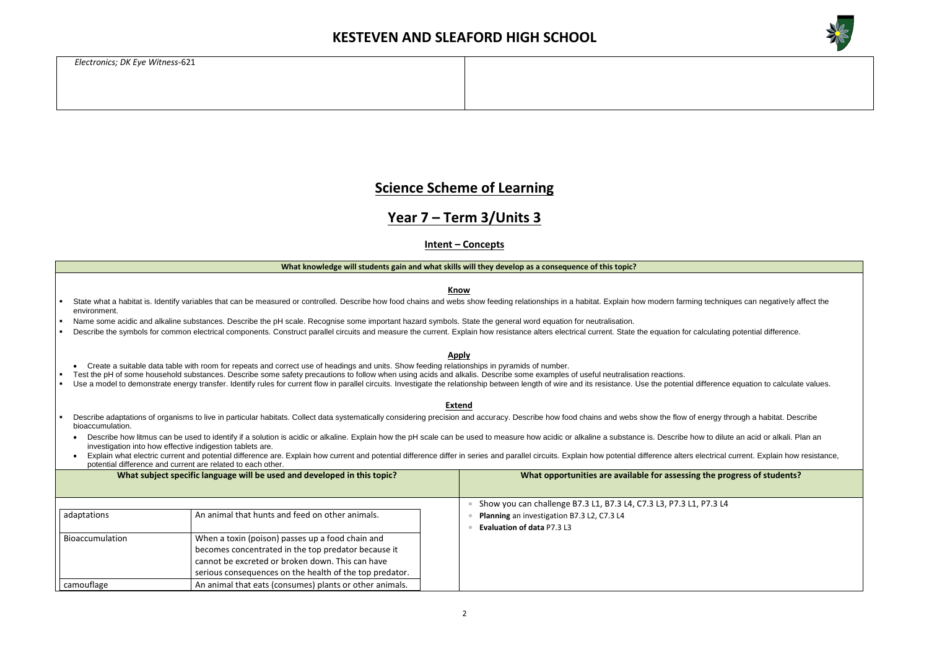

the progress of students?

*Electronics; DK Eye Witness*-621

#### **Science Scheme of Learning**

#### **Year 7 – Term 3/Units 3**

**Intent – Concepts**

#### **What knowledge will students gain and what skills will they develop as a consequence of this topic?**

**Know**

- State what a habitat is. Identify variables that can be measured or controlled. Describe how food chains and webs show feeding relationships in a habitat. Explain how modern farming techniques can negatively affect the environment.
- Name some acidic and alkaline substances. Describe the pH scale. Recognise some important hazard symbols. State the general word equation for neutralisation.
- Describe the symbols for common electrical components. Construct parallel circuits and measure the current. Explain how resistance alters electrical current. State the equation for calculating potential difference.

- Create a suitable data table with room for repeats and correct use of headings and units. Show feeding relationships in pyramids of number.
- Test the pH of some household substances. Describe some safety precautions to follow when using acids and alkalis. Describe some examples of useful neutralisation reactions.
- Use a model to demonstrate energy transfer. Identify rules for current flow in parallel circuits. Investigate the relationship between length of wire and its resistance. Use the potential difference equation to calculate v

**Apply**

- Describe adaptations of organisms to live in particular habitats. Collect data systematically considering precision and accuracy. Describe how food chains and webs show the flow of energy through a habitat. Describe bioaccumulation.
- Describe how litmus can be used to identify if a solution is acidic or alkaline. Explain how the pH scale can be used to measure how acidic or alkaline a substance is. Describe how to dilute an acid or alkali. Plan an investigation into how effective indigestion tablets are.
- Explain what electric current and potential difference are. Explain how current and potential difference differ in series and parallel circuits. Explain how potential difference alters electrical current. Explain how resis potential difference and current are related to each other.

**Extend**

|                 | What subject specific language will be used and developed in this topic?                                                                                                                                               | What opportunities are available for assessing the pro-                                                                                        |  |  |
|-----------------|------------------------------------------------------------------------------------------------------------------------------------------------------------------------------------------------------------------------|------------------------------------------------------------------------------------------------------------------------------------------------|--|--|
| adaptations     | An animal that hunts and feed on other animals.                                                                                                                                                                        | Show you can challenge B7.3 L1, B7.3 L4, C7.3 L3, P7.3 L1, P7.3 L4<br>Planning an investigation B7.3 L2, C7.3 L4<br>Evaluation of data P7.3 L3 |  |  |
| Bioaccumulation | When a toxin (poison) passes up a food chain and<br>becomes concentrated in the top predator because it<br>cannot be excreted or broken down. This can have<br>serious consequences on the health of the top predator. |                                                                                                                                                |  |  |
| camouflage      | An animal that eats (consumes) plants or other animals.                                                                                                                                                                |                                                                                                                                                |  |  |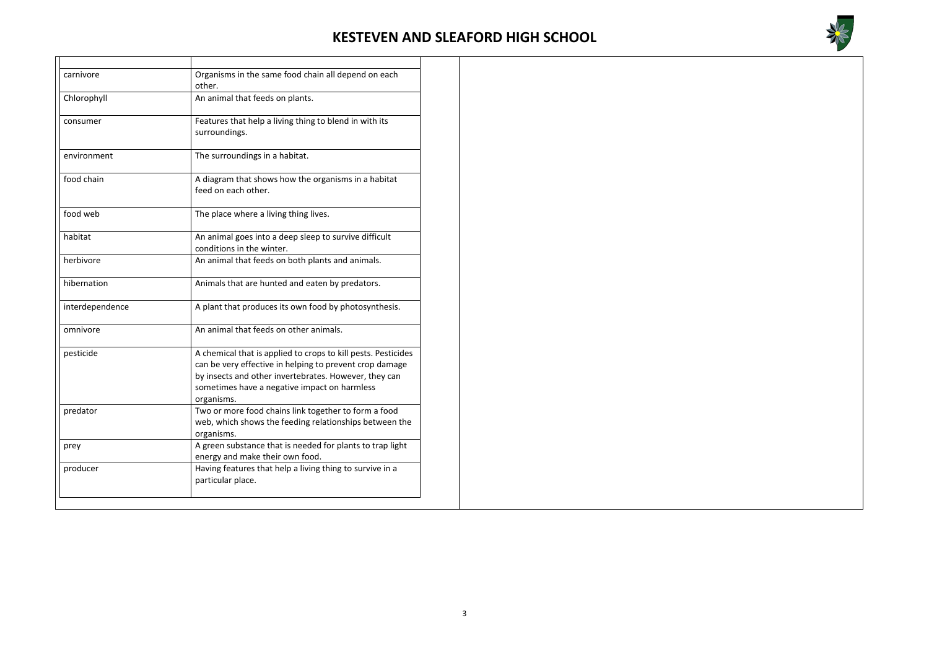

| carnivore       | Organisms in the same food chain all depend on each<br>other.                                                                                                                                                                                   |
|-----------------|-------------------------------------------------------------------------------------------------------------------------------------------------------------------------------------------------------------------------------------------------|
| Chlorophyll     | An animal that feeds on plants.                                                                                                                                                                                                                 |
| consumer        | Features that help a living thing to blend in with its<br>surroundings.                                                                                                                                                                         |
| environment     | The surroundings in a habitat.                                                                                                                                                                                                                  |
| food chain      | A diagram that shows how the organisms in a habitat<br>feed on each other.                                                                                                                                                                      |
| food web        | The place where a living thing lives.                                                                                                                                                                                                           |
| habitat         | An animal goes into a deep sleep to survive difficult<br>conditions in the winter.                                                                                                                                                              |
| herbivore       | An animal that feeds on both plants and animals.                                                                                                                                                                                                |
| hibernation     | Animals that are hunted and eaten by predators.                                                                                                                                                                                                 |
| interdependence | A plant that produces its own food by photosynthesis.                                                                                                                                                                                           |
| omnivore        | An animal that feeds on other animals.                                                                                                                                                                                                          |
| pesticide       | A chemical that is applied to crops to kill pests. Pesticides<br>can be very effective in helping to prevent crop damage<br>by insects and other invertebrates. However, they can<br>sometimes have a negative impact on harmless<br>organisms. |
| predator        | Two or more food chains link together to form a food<br>web, which shows the feeding relationships between the<br>organisms.                                                                                                                    |
| prey            | A green substance that is needed for plants to trap light<br>energy and make their own food.                                                                                                                                                    |
| producer        | Having features that help a living thing to survive in a<br>particular place.                                                                                                                                                                   |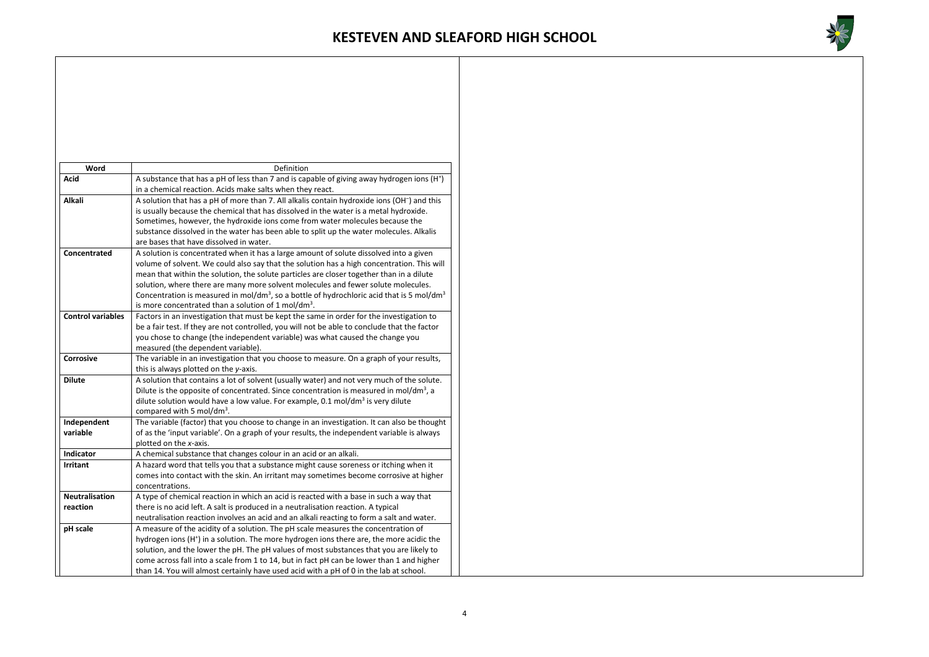

| Word                              | Definition                                                                                                                                                                                                                                                                                                                                                                                                                                                                                                                                                    |
|-----------------------------------|---------------------------------------------------------------------------------------------------------------------------------------------------------------------------------------------------------------------------------------------------------------------------------------------------------------------------------------------------------------------------------------------------------------------------------------------------------------------------------------------------------------------------------------------------------------|
| <b>Acid</b>                       | A substance that has a pH of less than 7 and is capable of giving away hydrogen ions (H <sup>+</sup> )<br>in a chemical reaction. Acids make salts when they react.                                                                                                                                                                                                                                                                                                                                                                                           |
| <b>Alkali</b>                     | A solution that has a pH of more than 7. All alkalis contain hydroxide ions (OH <sup>-</sup> ) and this<br>is usually because the chemical that has dissolved in the water is a metal hydroxide.<br>Sometimes, however, the hydroxide ions come from water molecules because the<br>substance dissolved in the water has been able to split up the water molecules. Alkalis<br>are bases that have dissolved in water.                                                                                                                                        |
| Concentrated                      | A solution is concentrated when it has a large amount of solute dissolved into a given<br>volume of solvent. We could also say that the solution has a high concentration. This will<br>mean that within the solution, the solute particles are closer together than in a dilute<br>solution, where there are many more solvent molecules and fewer solute molecules.<br>Concentration is measured in mol/dm <sup>3</sup> , so a bottle of hydrochloric acid that is 5 mol/dm <sup>3</sup><br>is more concentrated than a solution of 1 mol/dm <sup>3</sup> . |
| <b>Control variables</b>          | Factors in an investigation that must be kept the same in order for the investigation to<br>be a fair test. If they are not controlled, you will not be able to conclude that the factor<br>you chose to change (the independent variable) was what caused the change you<br>measured (the dependent variable).                                                                                                                                                                                                                                               |
| <b>Corrosive</b>                  | The variable in an investigation that you choose to measure. On a graph of your results,<br>this is always plotted on the y-axis.                                                                                                                                                                                                                                                                                                                                                                                                                             |
| <b>Dilute</b>                     | A solution that contains a lot of solvent (usually water) and not very much of the solute.<br>Dilute is the opposite of concentrated. Since concentration is measured in mol/dm <sup>3</sup> , a<br>dilute solution would have a low value. For example, 0.1 mol/dm <sup>3</sup> is very dilute<br>compared with 5 mol/dm <sup>3</sup> .                                                                                                                                                                                                                      |
| Independent<br>variable           | The variable (factor) that you choose to change in an investigation. It can also be thought<br>of as the 'input variable'. On a graph of your results, the independent variable is always<br>plotted on the x-axis.                                                                                                                                                                                                                                                                                                                                           |
| <b>Indicator</b>                  | A chemical substance that changes colour in an acid or an alkali.                                                                                                                                                                                                                                                                                                                                                                                                                                                                                             |
| <b>Irritant</b>                   | A hazard word that tells you that a substance might cause soreness or itching when it<br>comes into contact with the skin. An irritant may sometimes become corrosive at higher<br>concentrations.                                                                                                                                                                                                                                                                                                                                                            |
| <b>Neutralisation</b><br>reaction | A type of chemical reaction in which an acid is reacted with a base in such a way that<br>there is no acid left. A salt is produced in a neutralisation reaction. A typical<br>neutralisation reaction involves an acid and an alkali reacting to form a salt and water.                                                                                                                                                                                                                                                                                      |
| pH scale                          | A measure of the acidity of a solution. The pH scale measures the concentration of<br>hydrogen ions (H <sup>+</sup> ) in a solution. The more hydrogen ions there are, the more acidic the<br>solution, and the lower the pH. The pH values of most substances that you are likely to<br>come across fall into a scale from 1 to 14, but in fact pH can be lower than 1 and higher<br>than 14. You will almost certainly have used acid with a pH of 0 in the lab at school.                                                                                  |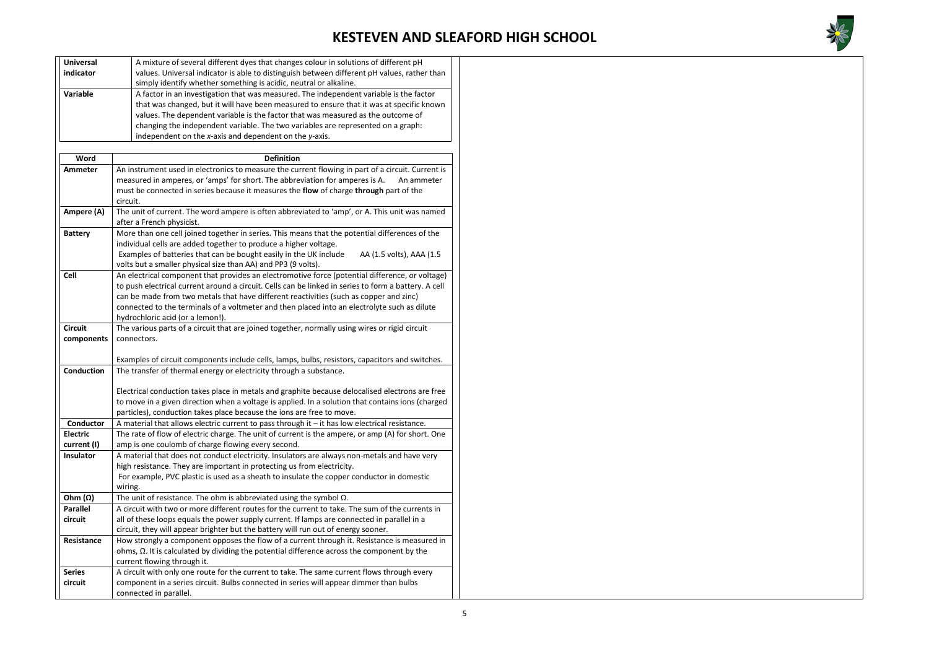

| <b>Universal</b>                                                                                  | A mixture of several different dyes that changes colour in solutions of different pH                                                                                  |  |  |
|---------------------------------------------------------------------------------------------------|-----------------------------------------------------------------------------------------------------------------------------------------------------------------------|--|--|
| indicator                                                                                         | values. Universal indicator is able to distinguish between different pH values, rather than                                                                           |  |  |
|                                                                                                   | simply identify whether something is acidic, neutral or alkaline.                                                                                                     |  |  |
| Variable                                                                                          | A factor in an investigation that was measured. The independent variable is the factor                                                                                |  |  |
|                                                                                                   | that was changed, but it will have been measured to ensure that it was at specific known                                                                              |  |  |
|                                                                                                   | values. The dependent variable is the factor that was measured as the outcome of                                                                                      |  |  |
|                                                                                                   | changing the independent variable. The two variables are represented on a graph:                                                                                      |  |  |
|                                                                                                   | independent on the x-axis and dependent on the y-axis.                                                                                                                |  |  |
|                                                                                                   |                                                                                                                                                                       |  |  |
| Word                                                                                              | <b>Definition</b>                                                                                                                                                     |  |  |
| Ammeter                                                                                           | An instrument used in electronics to measure the current flowing in part of a circuit. Current is                                                                     |  |  |
|                                                                                                   | measured in amperes, or 'amps' for short. The abbreviation for amperes is A.<br>An ammeter                                                                            |  |  |
| must be connected in series because it measures the flow of charge through part of the            |                                                                                                                                                                       |  |  |
|                                                                                                   | circuit.                                                                                                                                                              |  |  |
| Ampere (A)                                                                                        | The unit of current. The word ampere is often abbreviated to 'amp', or A. This unit was named                                                                         |  |  |
|                                                                                                   | after a French physicist.                                                                                                                                             |  |  |
| <b>Battery</b>                                                                                    | More than one cell joined together in series. This means that the potential differences of the                                                                        |  |  |
|                                                                                                   | individual cells are added together to produce a higher voltage.                                                                                                      |  |  |
|                                                                                                   | Examples of batteries that can be bought easily in the UK include<br>AA (1.5 volts), AAA (1.5                                                                         |  |  |
|                                                                                                   | volts but a smaller physical size than AA) and PP3 (9 volts).                                                                                                         |  |  |
| <b>Cell</b>                                                                                       | An electrical component that provides an electromotive force (potential difference, or voltage)                                                                       |  |  |
|                                                                                                   | to push electrical current around a circuit. Cells can be linked in series to form a battery. A cell                                                                  |  |  |
|                                                                                                   | can be made from two metals that have different reactivities (such as copper and zinc)                                                                                |  |  |
|                                                                                                   | connected to the terminals of a voltmeter and then placed into an electrolyte such as dilute                                                                          |  |  |
|                                                                                                   | hydrochloric acid (or a lemon!).                                                                                                                                      |  |  |
| <b>Circuit</b>                                                                                    | The various parts of a circuit that are joined together, normally using wires or rigid circuit                                                                        |  |  |
| components                                                                                        | connectors.                                                                                                                                                           |  |  |
|                                                                                                   |                                                                                                                                                                       |  |  |
| <b>Conduction</b>                                                                                 | Examples of circuit components include cells, lamps, bulbs, resistors, capacitors and switches.<br>The transfer of thermal energy or electricity through a substance. |  |  |
|                                                                                                   |                                                                                                                                                                       |  |  |
|                                                                                                   | Electrical conduction takes place in metals and graphite because delocalised electrons are free                                                                       |  |  |
| to move in a given direction when a voltage is applied. In a solution that contains ions (charged |                                                                                                                                                                       |  |  |
|                                                                                                   | particles), conduction takes place because the ions are free to move.                                                                                                 |  |  |
| Conductor                                                                                         | A material that allows electric current to pass through it - it has low electrical resistance.                                                                        |  |  |
| <b>Electric</b>                                                                                   | The rate of flow of electric charge. The unit of current is the ampere, or amp (A) for short. One                                                                     |  |  |
| current (I)                                                                                       | amp is one coulomb of charge flowing every second.                                                                                                                    |  |  |
| <b>Insulator</b>                                                                                  | A material that does not conduct electricity. Insulators are always non-metals and have very                                                                          |  |  |
|                                                                                                   | high resistance. They are important in protecting us from electricity.                                                                                                |  |  |
|                                                                                                   | For example, PVC plastic is used as a sheath to insulate the copper conductor in domestic                                                                             |  |  |
|                                                                                                   | wiring.                                                                                                                                                               |  |  |
| Ohm $(\Omega)$                                                                                    | The unit of resistance. The ohm is abbreviated using the symbol $\Omega$ .                                                                                            |  |  |
| <b>Parallel</b>                                                                                   | A circuit with two or more different routes for the current to take. The sum of the currents in                                                                       |  |  |
| circuit                                                                                           | all of these loops equals the power supply current. If lamps are connected in parallel in a                                                                           |  |  |
|                                                                                                   | circuit, they will appear brighter but the battery will run out of energy sooner.                                                                                     |  |  |
| Resistance                                                                                        | How strongly a component opposes the flow of a current through it. Resistance is measured in                                                                          |  |  |
|                                                                                                   | ohms, $\Omega$ . It is calculated by dividing the potential difference across the component by the                                                                    |  |  |
|                                                                                                   | current flowing through it.                                                                                                                                           |  |  |
| <b>Series</b>                                                                                     | A circuit with only one route for the current to take. The same current flows through every                                                                           |  |  |
| circuit                                                                                           | component in a series circuit. Bulbs connected in series will appear dimmer than bulbs                                                                                |  |  |
|                                                                                                   | connected in parallel.                                                                                                                                                |  |  |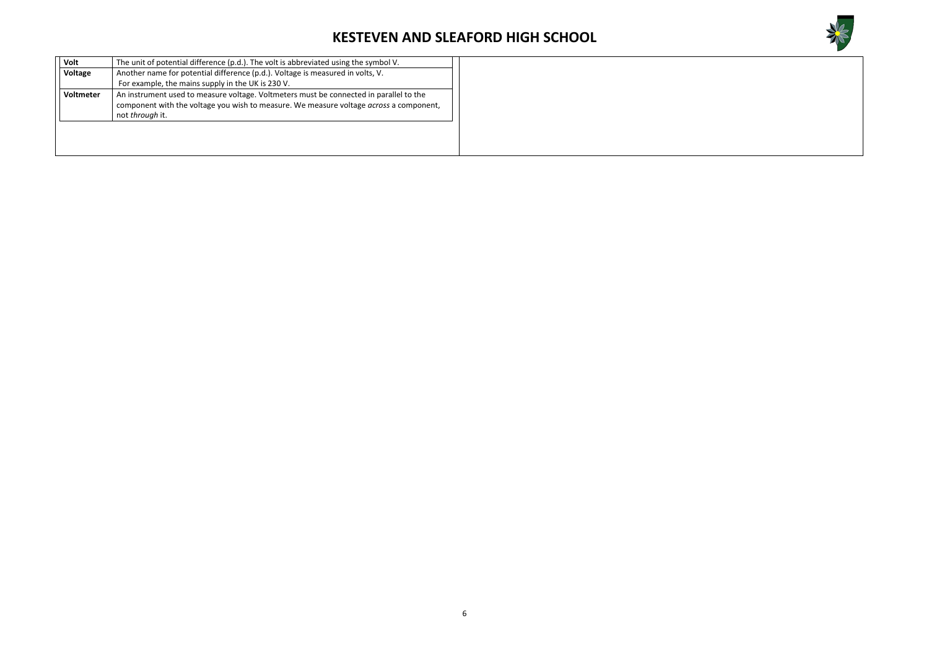

| Another name for potential difference (p.d.). Voltage is measured in volts, V.<br>Voltage<br>For example, the mains supply in the UK is 230 V.<br>An instrument used to measure voltage. Voltmeters must be connected in parallel to the<br>Voltmeter<br>component with the voltage you wish to measure. We measure voltage <i>across</i> a component, |
|--------------------------------------------------------------------------------------------------------------------------------------------------------------------------------------------------------------------------------------------------------------------------------------------------------------------------------------------------------|
|                                                                                                                                                                                                                                                                                                                                                        |
|                                                                                                                                                                                                                                                                                                                                                        |
| not through it.                                                                                                                                                                                                                                                                                                                                        |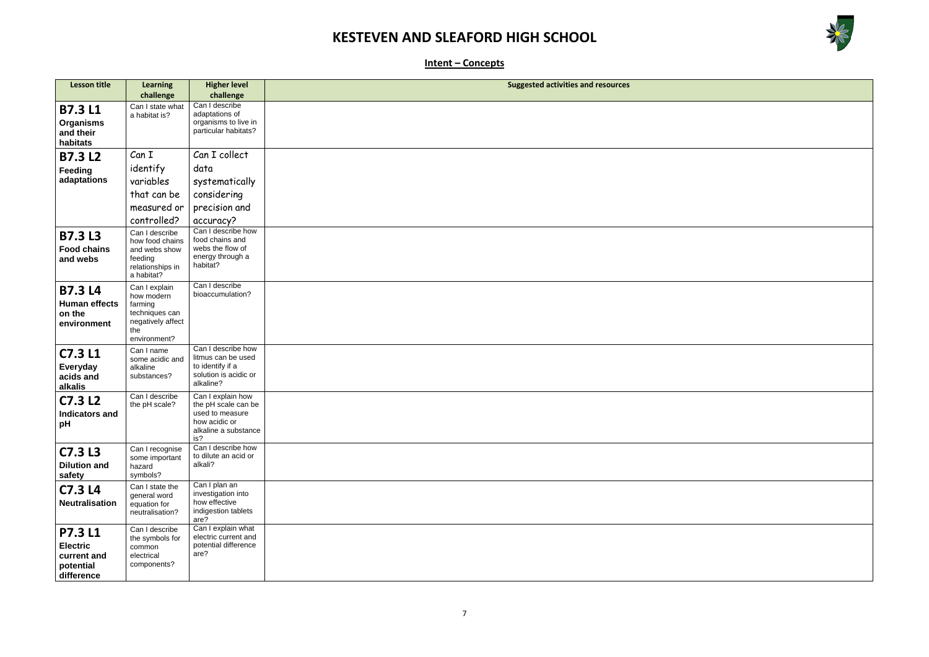

| $\mathcal{L}(\mathcal{L}(\mathcal{L}(\mathcal{L}(\mathcal{L}(\mathcal{L}(\mathcal{L}(\mathcal{L}(\mathcal{L}(\mathcal{L}(\mathcal{L}(\mathcal{L}(\mathcal{L}(\mathcal{L}(\mathcal{L}(\mathcal{L}(\mathcal{L}(\mathcal{L}(\mathcal{L}(\mathcal{L}(\mathcal{L}(\mathcal{L}(\mathcal{L}(\mathcal{L}(\mathcal{L}(\mathcal{L}(\mathcal{L}(\mathcal{L}(\mathcal{L}(\mathcal{L}(\mathcal{L}(\mathcal{L}(\mathcal{L}(\mathcal{L}(\mathcal{L}(\mathcal{L}(\mathcal{$ |  |  |
|-------------------------------------------------------------------------------------------------------------------------------------------------------------------------------------------------------------------------------------------------------------------------------------------------------------------------------------------------------------------------------------------------------------------------------------------------------------|--|--|
|                                                                                                                                                                                                                                                                                                                                                                                                                                                             |  |  |
|                                                                                                                                                                                                                                                                                                                                                                                                                                                             |  |  |
|                                                                                                                                                                                                                                                                                                                                                                                                                                                             |  |  |
|                                                                                                                                                                                                                                                                                                                                                                                                                                                             |  |  |
|                                                                                                                                                                                                                                                                                                                                                                                                                                                             |  |  |
|                                                                                                                                                                                                                                                                                                                                                                                                                                                             |  |  |
|                                                                                                                                                                                                                                                                                                                                                                                                                                                             |  |  |
|                                                                                                                                                                                                                                                                                                                                                                                                                                                             |  |  |
|                                                                                                                                                                                                                                                                                                                                                                                                                                                             |  |  |
|                                                                                                                                                                                                                                                                                                                                                                                                                                                             |  |  |
|                                                                                                                                                                                                                                                                                                                                                                                                                                                             |  |  |
|                                                                                                                                                                                                                                                                                                                                                                                                                                                             |  |  |
|                                                                                                                                                                                                                                                                                                                                                                                                                                                             |  |  |
|                                                                                                                                                                                                                                                                                                                                                                                                                                                             |  |  |
|                                                                                                                                                                                                                                                                                                                                                                                                                                                             |  |  |
|                                                                                                                                                                                                                                                                                                                                                                                                                                                             |  |  |
|                                                                                                                                                                                                                                                                                                                                                                                                                                                             |  |  |
|                                                                                                                                                                                                                                                                                                                                                                                                                                                             |  |  |
|                                                                                                                                                                                                                                                                                                                                                                                                                                                             |  |  |
|                                                                                                                                                                                                                                                                                                                                                                                                                                                             |  |  |
|                                                                                                                                                                                                                                                                                                                                                                                                                                                             |  |  |
|                                                                                                                                                                                                                                                                                                                                                                                                                                                             |  |  |
|                                                                                                                                                                                                                                                                                                                                                                                                                                                             |  |  |
|                                                                                                                                                                                                                                                                                                                                                                                                                                                             |  |  |

**Intent – Concepts**

| <b>Lesson title</b>                                                         | <b>Learning</b>                                                                                      | <b>Higher level</b>                                                                                         | <b>Suggested activities and resources</b> |
|-----------------------------------------------------------------------------|------------------------------------------------------------------------------------------------------|-------------------------------------------------------------------------------------------------------------|-------------------------------------------|
|                                                                             | challenge                                                                                            | challenge                                                                                                   |                                           |
| <b>B7.3 L1</b><br><b>Organisms</b><br>and their<br>habitats                 | Can I state what<br>a habitat is?                                                                    | Can I describe<br>adaptations of<br>organisms to live in<br>particular habitats?                            |                                           |
| <b>B7.3 L2</b>                                                              | Can I                                                                                                | Can I collect                                                                                               |                                           |
| Feeding                                                                     | identify                                                                                             | data                                                                                                        |                                           |
| adaptations                                                                 | variables                                                                                            | systematically                                                                                              |                                           |
|                                                                             | that can be                                                                                          | considering                                                                                                 |                                           |
|                                                                             | measured or                                                                                          | precision and                                                                                               |                                           |
|                                                                             | controlled?                                                                                          | accuracy?                                                                                                   |                                           |
| <b>B7.3 L3</b><br><b>Food chains</b><br>and webs                            | Can I describe<br>how food chains<br>and webs show<br>feeding<br>relationships in<br>a habitat?      | Can I describe how<br>food chains and<br>webs the flow of<br>energy through a<br>habitat?                   |                                           |
| <b>B7.3 L4</b><br><b>Human effects</b><br>on the<br>environment             | Can I explain<br>how modern<br>farming<br>techniques can<br>negatively affect<br>the<br>environment? | Can I describe<br>bioaccumulation?                                                                          |                                           |
| C7.3 L1<br><b>Everyday</b><br>acids and<br>alkalis                          | Can I name<br>some acidic and<br>alkaline<br>substances?                                             | Can I describe how<br>litmus can be used<br>to identify if a<br>solution is acidic or<br>alkaline?          |                                           |
| C7.3L2<br><b>Indicators and</b><br>рH                                       | Can I describe<br>the pH scale?                                                                      | Can I explain how<br>the pH scale can be<br>used to measure<br>how acidic or<br>alkaline a substance<br>is? |                                           |
| C7.3L3<br><b>Dilution and</b><br>safety                                     | Can I recognise<br>some important<br>hazard<br>symbols?                                              | Can I describe how<br>to dilute an acid or<br>alkali?                                                       |                                           |
| C7.3 L4<br><b>Neutralisation</b>                                            | Can I state the<br>general word<br>equation for<br>neutralisation?                                   | Can I plan an<br>investigation into<br>how effective<br>indigestion tablets<br>are?                         |                                           |
| <b>P7.3 L1</b><br><b>Electric</b><br>current and<br>potential<br>difference | Can I describe<br>the symbols for<br>common<br>electrical<br>components?                             | Can I explain what<br>electric current and<br>potential difference<br>are?                                  |                                           |